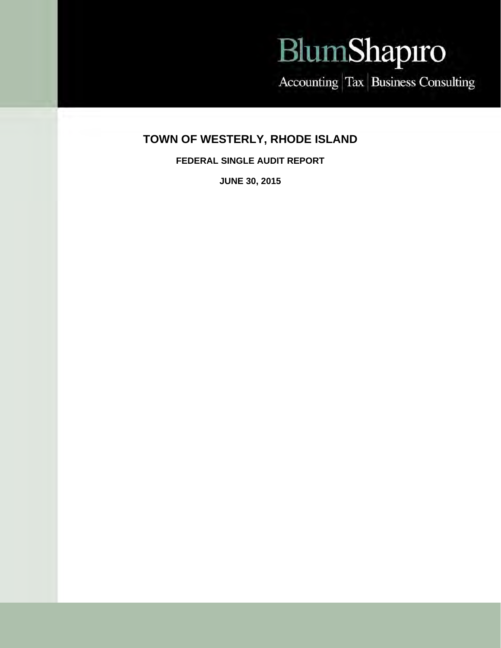# BlumShapıro

Accounting Tax Business Consulting

# **TOWN OF WESTERLY, RHODE ISLAND**

**FEDERAL SINGLE AUDIT REPORT** 

**JUNE 30, 2015**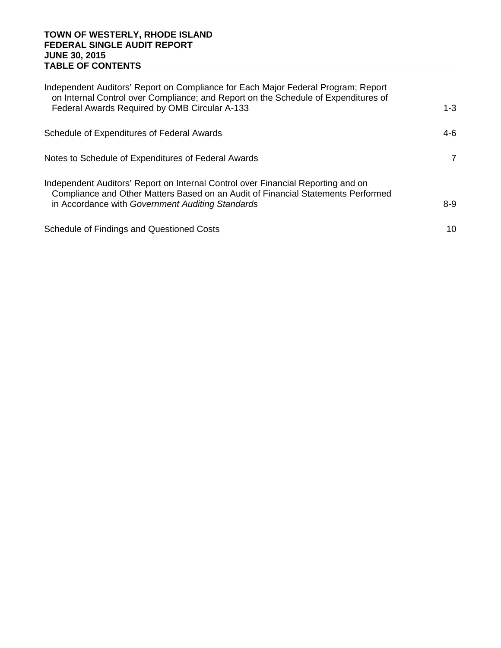## **TOWN OF WESTERLY, RHODE ISLAND FEDERAL SINGLE AUDIT REPORT JUNE 30, 2015 TABLE OF CONTENTS**

| Independent Auditors' Report on Compliance for Each Major Federal Program; Report<br>on Internal Control over Compliance; and Report on the Schedule of Expenditures of<br>Federal Awards Required by OMB Circular A-133 | $1 - 3$        |
|--------------------------------------------------------------------------------------------------------------------------------------------------------------------------------------------------------------------------|----------------|
| Schedule of Expenditures of Federal Awards                                                                                                                                                                               | 4-6            |
| Notes to Schedule of Expenditures of Federal Awards                                                                                                                                                                      | $\overline{7}$ |
| Independent Auditors' Report on Internal Control over Financial Reporting and on<br>Compliance and Other Matters Based on an Audit of Financial Statements Performed<br>in Accordance with Government Auditing Standards | $8 - 9$        |
| Schedule of Findings and Questioned Costs                                                                                                                                                                                | 10             |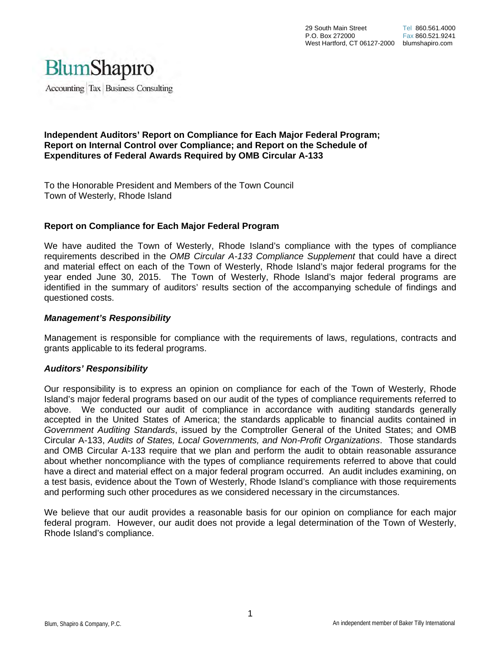

Accounting Tax Business Consulting

### **Independent Auditors' Report on Compliance for Each Major Federal Program; Report on Internal Control over Compliance; and Report on the Schedule of Expenditures of Federal Awards Required by OMB Circular A-133**

To the Honorable President and Members of the Town Council Town of Westerly, Rhode Island

## **Report on Compliance for Each Major Federal Program**

We have audited the Town of Westerly, Rhode Island's compliance with the types of compliance requirements described in the *OMB Circular A-133 Compliance Supplement* that could have a direct and material effect on each of the Town of Westerly, Rhode Island's major federal programs for the year ended June 30, 2015. The Town of Westerly, Rhode Island's major federal programs are identified in the summary of auditors' results section of the accompanying schedule of findings and questioned costs.

#### *Management's Responsibility*

Management is responsible for compliance with the requirements of laws, regulations, contracts and grants applicable to its federal programs.

#### *Auditors' Responsibility*

Our responsibility is to express an opinion on compliance for each of the Town of Westerly, Rhode Island's major federal programs based on our audit of the types of compliance requirements referred to above. We conducted our audit of compliance in accordance with auditing standards generally accepted in the United States of America; the standards applicable to financial audits contained in *Government Auditing Standards*, issued by the Comptroller General of the United States; and OMB Circular A-133, *Audits of States, Local Governments, and Non-Profit Organizations*. Those standards and OMB Circular A-133 require that we plan and perform the audit to obtain reasonable assurance about whether noncompliance with the types of compliance requirements referred to above that could have a direct and material effect on a major federal program occurred. An audit includes examining, on a test basis, evidence about the Town of Westerly, Rhode Island's compliance with those requirements and performing such other procedures as we considered necessary in the circumstances.

We believe that our audit provides a reasonable basis for our opinion on compliance for each major federal program. However, our audit does not provide a legal determination of the Town of Westerly, Rhode Island's compliance.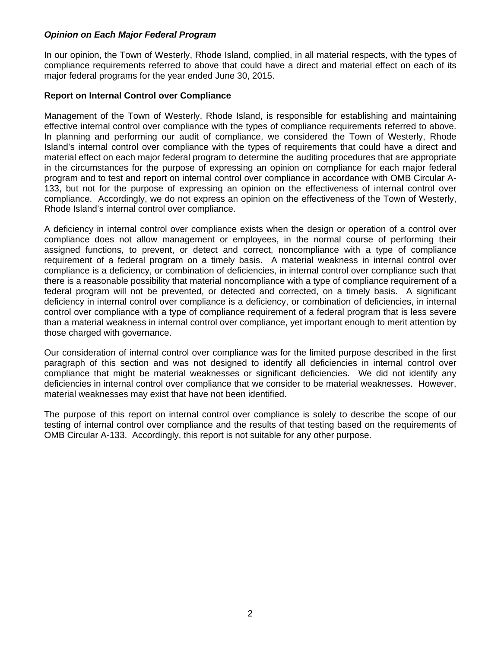# *Opinion on Each Major Federal Program*

In our opinion, the Town of Westerly, Rhode Island, complied, in all material respects, with the types of compliance requirements referred to above that could have a direct and material effect on each of its major federal programs for the year ended June 30, 2015.

#### **Report on Internal Control over Compliance**

Management of the Town of Westerly, Rhode Island, is responsible for establishing and maintaining effective internal control over compliance with the types of compliance requirements referred to above. In planning and performing our audit of compliance, we considered the Town of Westerly, Rhode Island's internal control over compliance with the types of requirements that could have a direct and material effect on each major federal program to determine the auditing procedures that are appropriate in the circumstances for the purpose of expressing an opinion on compliance for each major federal program and to test and report on internal control over compliance in accordance with OMB Circular A-133, but not for the purpose of expressing an opinion on the effectiveness of internal control over compliance. Accordingly, we do not express an opinion on the effectiveness of the Town of Westerly, Rhode Island's internal control over compliance.

A deficiency in internal control over compliance exists when the design or operation of a control over compliance does not allow management or employees, in the normal course of performing their assigned functions, to prevent, or detect and correct, noncompliance with a type of compliance requirement of a federal program on a timely basis. A material weakness in internal control over compliance is a deficiency, or combination of deficiencies, in internal control over compliance such that there is a reasonable possibility that material noncompliance with a type of compliance requirement of a federal program will not be prevented, or detected and corrected, on a timely basis. A significant deficiency in internal control over compliance is a deficiency, or combination of deficiencies, in internal control over compliance with a type of compliance requirement of a federal program that is less severe than a material weakness in internal control over compliance, yet important enough to merit attention by those charged with governance.

Our consideration of internal control over compliance was for the limited purpose described in the first paragraph of this section and was not designed to identify all deficiencies in internal control over compliance that might be material weaknesses or significant deficiencies. We did not identify any deficiencies in internal control over compliance that we consider to be material weaknesses. However, material weaknesses may exist that have not been identified.

The purpose of this report on internal control over compliance is solely to describe the scope of our testing of internal control over compliance and the results of that testing based on the requirements of OMB Circular A-133. Accordingly, this report is not suitable for any other purpose.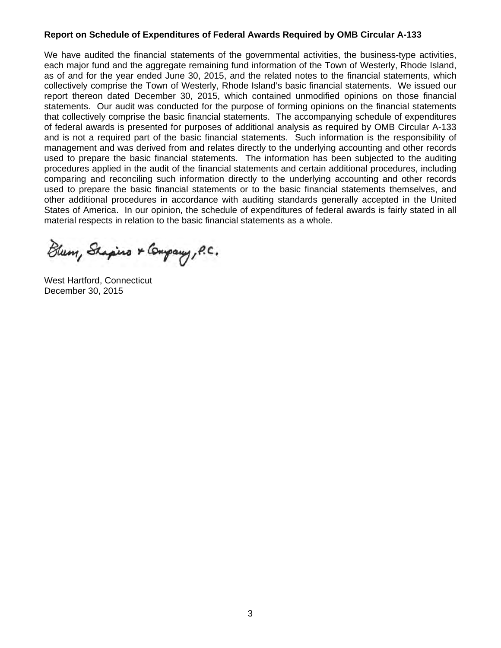### **Report on Schedule of Expenditures of Federal Awards Required by OMB Circular A-133**

We have audited the financial statements of the governmental activities, the business-type activities, each major fund and the aggregate remaining fund information of the Town of Westerly, Rhode Island, as of and for the year ended June 30, 2015, and the related notes to the financial statements, which collectively comprise the Town of Westerly, Rhode Island's basic financial statements. We issued our report thereon dated December 30, 2015, which contained unmodified opinions on those financial statements. Our audit was conducted for the purpose of forming opinions on the financial statements that collectively comprise the basic financial statements. The accompanying schedule of expenditures of federal awards is presented for purposes of additional analysis as required by OMB Circular A-133 and is not a required part of the basic financial statements. Such information is the responsibility of management and was derived from and relates directly to the underlying accounting and other records used to prepare the basic financial statements. The information has been subjected to the auditing procedures applied in the audit of the financial statements and certain additional procedures, including comparing and reconciling such information directly to the underlying accounting and other records used to prepare the basic financial statements or to the basic financial statements themselves, and other additional procedures in accordance with auditing standards generally accepted in the United States of America. In our opinion, the schedule of expenditures of federal awards is fairly stated in all material respects in relation to the basic financial statements as a whole.

Blum, Shapino & Company, P.C.

West Hartford, Connecticut December 30, 2015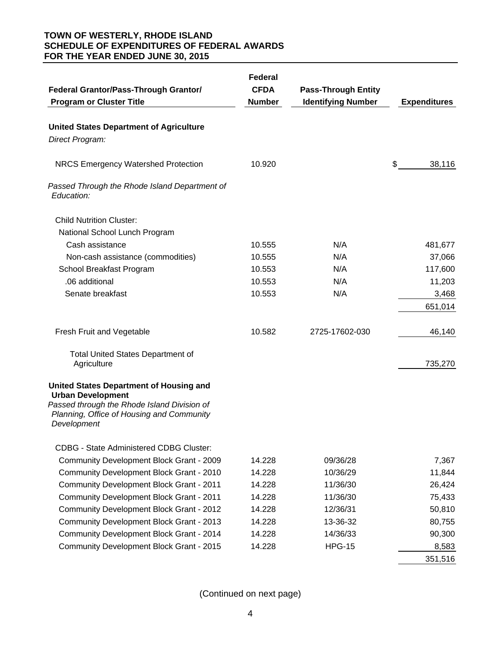### **TOWN OF WESTERLY, RHODE ISLAND SCHEDULE OF EXPENDITURES OF FEDERAL AWARDS FOR THE YEAR ENDED JUNE 30, 2015**

| Federal Grantor/Pass-Through Grantor/<br><b>Program or Cluster Title</b>                                                                                                              | <b>Federal</b><br><b>CFDA</b><br><b>Number</b> | <b>Pass-Through Entity</b><br><b>Identifying Number</b> | <b>Expenditures</b> |
|---------------------------------------------------------------------------------------------------------------------------------------------------------------------------------------|------------------------------------------------|---------------------------------------------------------|---------------------|
| <b>United States Department of Agriculture</b>                                                                                                                                        |                                                |                                                         |                     |
| Direct Program:                                                                                                                                                                       |                                                |                                                         |                     |
| NRCS Emergency Watershed Protection                                                                                                                                                   | 10.920                                         |                                                         | \$<br>38,116        |
| Passed Through the Rhode Island Department of<br>Education:                                                                                                                           |                                                |                                                         |                     |
| <b>Child Nutrition Cluster:</b>                                                                                                                                                       |                                                |                                                         |                     |
| National School Lunch Program                                                                                                                                                         |                                                |                                                         |                     |
| Cash assistance                                                                                                                                                                       | 10.555                                         | N/A                                                     | 481,677             |
| Non-cash assistance (commodities)                                                                                                                                                     | 10.555                                         | N/A                                                     | 37,066              |
| School Breakfast Program                                                                                                                                                              | 10.553                                         | N/A                                                     | 117,600             |
| .06 additional                                                                                                                                                                        | 10.553                                         | N/A                                                     | 11,203              |
| Senate breakfast                                                                                                                                                                      | 10.553                                         | N/A                                                     | 3,468               |
|                                                                                                                                                                                       |                                                |                                                         | 651,014             |
| Fresh Fruit and Vegetable                                                                                                                                                             | 10.582                                         | 2725-17602-030                                          | 46,140              |
| <b>Total United States Department of</b><br>Agriculture                                                                                                                               |                                                |                                                         | 735,270             |
| <b>United States Department of Housing and</b><br><b>Urban Development</b><br>Passed through the Rhode Island Division of<br>Planning, Office of Housing and Community<br>Development |                                                |                                                         |                     |
| <b>CDBG - State Administered CDBG Cluster:</b>                                                                                                                                        |                                                |                                                         |                     |
| Community Development Block Grant - 2009                                                                                                                                              | 14.228                                         | 09/36/28                                                | 7,367               |
| Community Development Block Grant - 2010                                                                                                                                              | 14.228                                         | 10/36/29                                                | 11,844              |
| Community Development Block Grant - 2011                                                                                                                                              | 14.228                                         | 11/36/30                                                | 26,424              |
| Community Development Block Grant - 2011                                                                                                                                              | 14.228                                         | 11/36/30                                                | 75,433              |
| Community Development Block Grant - 2012                                                                                                                                              | 14.228                                         | 12/36/31                                                | 50,810              |
| Community Development Block Grant - 2013                                                                                                                                              | 14.228                                         | 13-36-32                                                | 80,755              |
| Community Development Block Grant - 2014                                                                                                                                              | 14.228                                         | 14/36/33                                                | 90,300              |
| Community Development Block Grant - 2015                                                                                                                                              | 14.228                                         | <b>HPG-15</b>                                           | 8,583               |
|                                                                                                                                                                                       |                                                |                                                         | 351,516             |

(Continued on next page)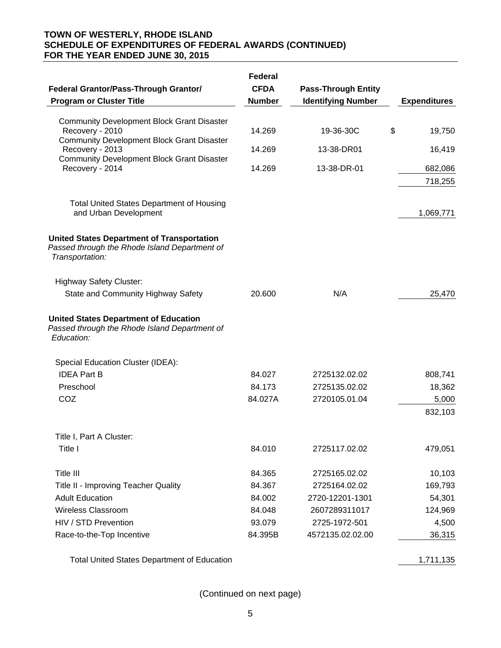# **TOWN OF WESTERLY, RHODE ISLAND SCHEDULE OF EXPENDITURES OF FEDERAL AWARDS (CONTINUED) FOR THE YEAR ENDED JUNE 30, 2015**

| Federal Grantor/Pass-Through Grantor/<br><b>Program or Cluster Title</b>                                              | <b>Federal</b><br><b>CFDA</b><br><b>Number</b> | <b>Pass-Through Entity</b><br><b>Identifying Number</b> | <b>Expenditures</b> |
|-----------------------------------------------------------------------------------------------------------------------|------------------------------------------------|---------------------------------------------------------|---------------------|
| <b>Community Development Block Grant Disaster</b>                                                                     |                                                |                                                         |                     |
| Recovery - 2010<br><b>Community Development Block Grant Disaster</b>                                                  | 14.269                                         | 19-36-30C                                               | \$<br>19,750        |
| Recovery - 2013<br><b>Community Development Block Grant Disaster</b>                                                  | 14.269                                         | 13-38-DR01                                              | 16,419              |
| Recovery - 2014                                                                                                       | 14.269                                         | 13-38-DR-01                                             | 682,086             |
|                                                                                                                       |                                                |                                                         | 718,255             |
| <b>Total United States Department of Housing</b><br>and Urban Development                                             |                                                |                                                         | 1,069,771           |
| <b>United States Department of Transportation</b><br>Passed through the Rhode Island Department of<br>Transportation: |                                                |                                                         |                     |
| <b>Highway Safety Cluster:</b>                                                                                        |                                                |                                                         |                     |
| State and Community Highway Safety                                                                                    | 20.600                                         | N/A                                                     | 25,470              |
| <b>United States Department of Education</b><br>Passed through the Rhode Island Department of<br>Education:           |                                                |                                                         |                     |
| Special Education Cluster (IDEA):                                                                                     |                                                |                                                         |                     |
| <b>IDEA Part B</b>                                                                                                    | 84.027                                         | 2725132.02.02                                           | 808,741             |
| Preschool                                                                                                             | 84.173                                         | 2725135.02.02                                           | 18,362              |
| COZ                                                                                                                   | 84.027A                                        | 2720105.01.04                                           | 5,000               |
|                                                                                                                       |                                                |                                                         | 832,103             |
| Title I, Part A Cluster:                                                                                              |                                                |                                                         |                     |
| Title I                                                                                                               | 84.010                                         | 2725117.02.02                                           | 479,051             |
| Title III                                                                                                             | 84.365                                         | 2725165.02.02                                           | 10,103              |
| Title II - Improving Teacher Quality                                                                                  | 84.367                                         | 2725164.02.02                                           | 169,793             |
| <b>Adult Education</b>                                                                                                | 84.002                                         | 2720-12201-1301                                         | 54,301              |
| Wireless Classroom                                                                                                    | 84.048                                         | 2607289311017                                           | 124,969             |
| HIV / STD Prevention                                                                                                  | 93.079                                         | 2725-1972-501                                           | 4,500               |
| Race-to-the-Top Incentive                                                                                             | 84.395B                                        | 4572135.02.02.00                                        | 36,315              |

Total United States Department of Education 1,711,135

(Continued on next page)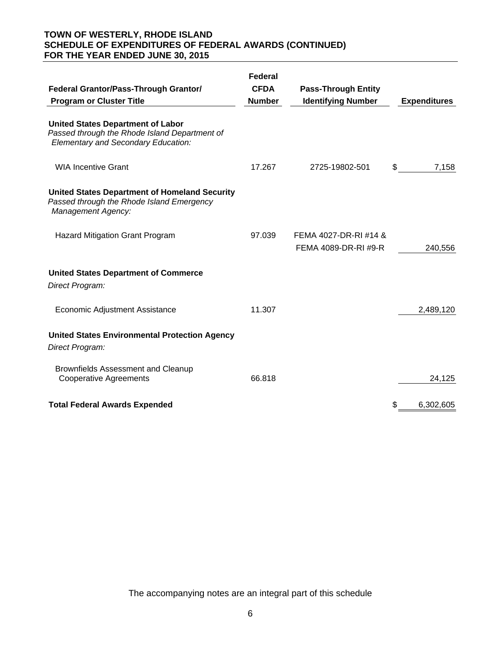# **TOWN OF WESTERLY, RHODE ISLAND SCHEDULE OF EXPENDITURES OF FEDERAL AWARDS (CONTINUED) FOR THE YEAR ENDED JUNE 30, 2015**

| Federal Grantor/Pass-Through Grantor/<br><b>Program or Cluster Title</b>                                                         | Federal<br><b>CFDA</b><br><b>Number</b> | <b>Pass-Through Entity</b><br><b>Identifying Number</b> | <b>Expenditures</b> |
|----------------------------------------------------------------------------------------------------------------------------------|-----------------------------------------|---------------------------------------------------------|---------------------|
| <b>United States Department of Labor</b><br>Passed through the Rhode Island Department of<br>Elementary and Secondary Education: |                                         |                                                         |                     |
| <b>WIA Incentive Grant</b>                                                                                                       | 17.267                                  | 2725-19802-501                                          | \$<br>7,158         |
| <b>United States Department of Homeland Security</b><br>Passed through the Rhode Island Emergency<br><b>Management Agency:</b>   |                                         |                                                         |                     |
| <b>Hazard Mitigation Grant Program</b>                                                                                           | 97.039                                  | FEMA 4027-DR-RI #14 &<br>FEMA 4089-DR-RI #9-R           | 240,556             |
| <b>United States Department of Commerce</b><br>Direct Program:                                                                   |                                         |                                                         |                     |
| Economic Adjustment Assistance                                                                                                   | 11.307                                  |                                                         | 2,489,120           |
| <b>United States Environmental Protection Agency</b><br>Direct Program:                                                          |                                         |                                                         |                     |
| <b>Brownfields Assessment and Cleanup</b><br><b>Cooperative Agreements</b>                                                       | 66.818                                  |                                                         | 24,125              |
| <b>Total Federal Awards Expended</b>                                                                                             |                                         |                                                         | 6,302,605<br>S      |

The accompanying notes are an integral part of this schedule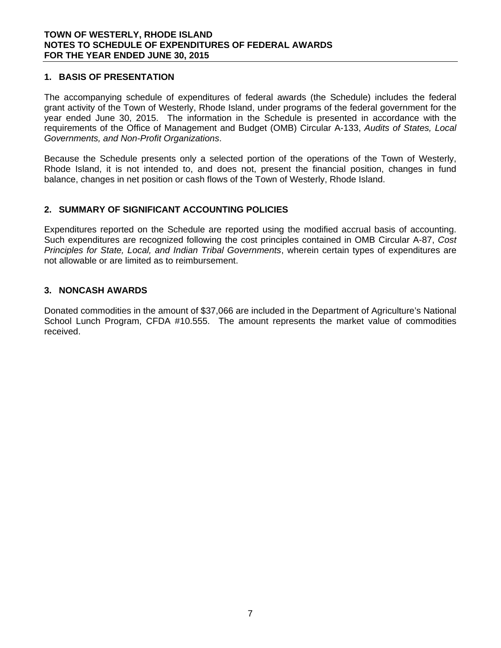# **1. BASIS OF PRESENTATION**

The accompanying schedule of expenditures of federal awards (the Schedule) includes the federal grant activity of the Town of Westerly, Rhode Island, under programs of the federal government for the year ended June 30, 2015. The information in the Schedule is presented in accordance with the requirements of the Office of Management and Budget (OMB) Circular A-133, *Audits of States, Local Governments, and Non-Profit Organizations*.

Because the Schedule presents only a selected portion of the operations of the Town of Westerly, Rhode Island, it is not intended to, and does not, present the financial position, changes in fund balance, changes in net position or cash flows of the Town of Westerly, Rhode Island.

# **2. SUMMARY OF SIGNIFICANT ACCOUNTING POLICIES**

Expenditures reported on the Schedule are reported using the modified accrual basis of accounting. Such expenditures are recognized following the cost principles contained in OMB Circular A-87, *Cost Principles for State, Local, and Indian Tribal Governments*, wherein certain types of expenditures are not allowable or are limited as to reimbursement.

# **3. NONCASH AWARDS**

Donated commodities in the amount of \$37,066 are included in the Department of Agriculture's National School Lunch Program, CFDA #10.555. The amount represents the market value of commodities received.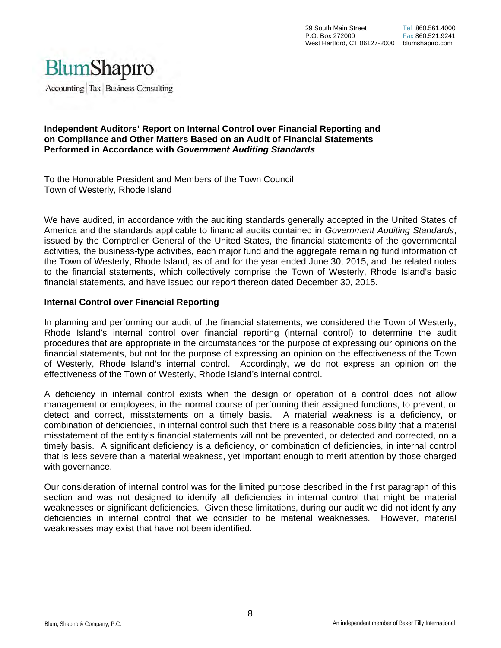

Accounting Tax Business Consulting

#### **Independent Auditors' Report on Internal Control over Financial Reporting and on Compliance and Other Matters Based on an Audit of Financial Statements Performed in Accordance with** *Government Auditing Standards*

To the Honorable President and Members of the Town Council Town of Westerly, Rhode Island

We have audited, in accordance with the auditing standards generally accepted in the United States of America and the standards applicable to financial audits contained in *Government Auditing Standards*, issued by the Comptroller General of the United States, the financial statements of the governmental activities, the business-type activities, each major fund and the aggregate remaining fund information of the Town of Westerly, Rhode Island, as of and for the year ended June 30, 2015, and the related notes to the financial statements, which collectively comprise the Town of Westerly, Rhode Island's basic financial statements, and have issued our report thereon dated December 30, 2015.

#### **Internal Control over Financial Reporting**

In planning and performing our audit of the financial statements, we considered the Town of Westerly, Rhode Island's internal control over financial reporting (internal control) to determine the audit procedures that are appropriate in the circumstances for the purpose of expressing our opinions on the financial statements, but not for the purpose of expressing an opinion on the effectiveness of the Town of Westerly, Rhode Island's internal control. Accordingly, we do not express an opinion on the effectiveness of the Town of Westerly, Rhode Island's internal control.

A deficiency in internal control exists when the design or operation of a control does not allow management or employees, in the normal course of performing their assigned functions, to prevent, or detect and correct, misstatements on a timely basis. A material weakness is a deficiency, or combination of deficiencies, in internal control such that there is a reasonable possibility that a material misstatement of the entity's financial statements will not be prevented, or detected and corrected, on a timely basis. A significant deficiency is a deficiency, or combination of deficiencies, in internal control that is less severe than a material weakness, yet important enough to merit attention by those charged with governance.

Our consideration of internal control was for the limited purpose described in the first paragraph of this section and was not designed to identify all deficiencies in internal control that might be material weaknesses or significant deficiencies. Given these limitations, during our audit we did not identify any deficiencies in internal control that we consider to be material weaknesses. However, material weaknesses may exist that have not been identified.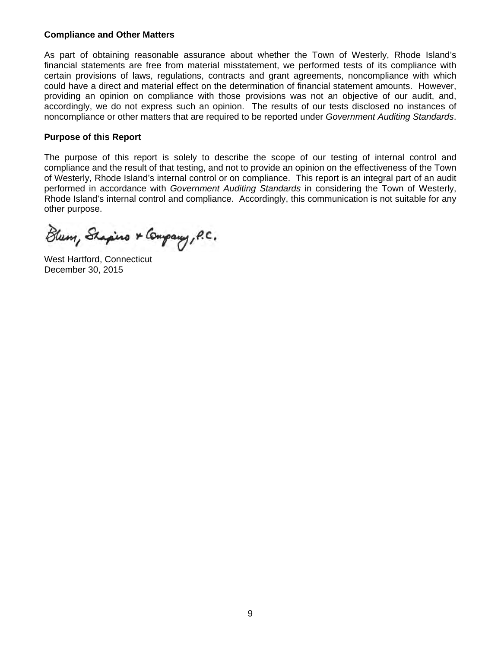### **Compliance and Other Matters**

As part of obtaining reasonable assurance about whether the Town of Westerly, Rhode Island's financial statements are free from material misstatement, we performed tests of its compliance with certain provisions of laws, regulations, contracts and grant agreements, noncompliance with which could have a direct and material effect on the determination of financial statement amounts. However, providing an opinion on compliance with those provisions was not an objective of our audit, and, accordingly, we do not express such an opinion. The results of our tests disclosed no instances of noncompliance or other matters that are required to be reported under *Government Auditing Standards*.

# **Purpose of this Report**

The purpose of this report is solely to describe the scope of our testing of internal control and compliance and the result of that testing, and not to provide an opinion on the effectiveness of the Town of Westerly, Rhode Island's internal control or on compliance. This report is an integral part of an audit performed in accordance with *Government Auditing Standards* in considering the Town of Westerly, Rhode Island's internal control and compliance. Accordingly, this communication is not suitable for any other purpose.

Blum, Stapins & Company, P.C.

West Hartford, Connecticut December 30, 2015